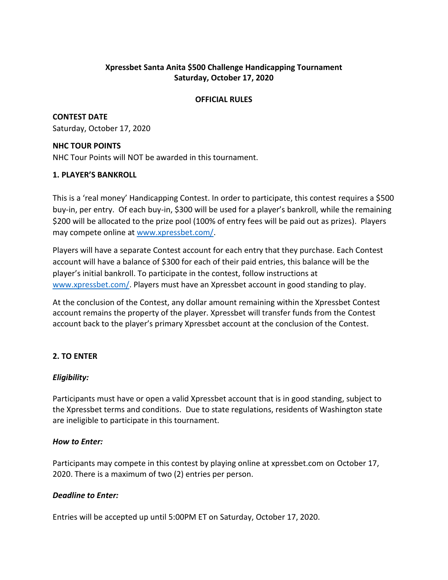## **Xpressbet Santa Anita \$500 Challenge Handicapping Tournament Saturday, October 17, 2020**

### **OFFICIAL RULES**

**CONTEST DATE** Saturday, October 17, 2020

### **NHC TOUR POINTS**

NHC Tour Points will NOT be awarded in this tournament.

## **1. PLAYER'S BANKROLL**

This is a 'real money' Handicapping Contest. In order to participate, this contest requires a \$500 buy-in, per entry. Of each buy-in, \$300 will be used for a player's bankroll, while the remaining \$200 will be allocated to the prize pool (100% of entry fees will be paid out as prizes). Players may compete online at [www.xpressbet.com/.](http://www.xpressbet.com/)

Players will have a separate Contest account for each entry that they purchase. Each Contest account will have a balance of \$300 for each of their paid entries, this balance will be the player's initial bankroll. To participate in the contest, follow instructions at [www.xpressbet.com/.](http://www.xpressbet.com/) Players must have an Xpressbet account in good standing to play.

At the conclusion of the Contest, any dollar amount remaining within the Xpressbet Contest account remains the property of the player. Xpressbet will transfer funds from the Contest account back to the player's primary Xpressbet account at the conclusion of the Contest.

# **2. TO ENTER**

## *Eligibility:*

Participants must have or open a valid Xpressbet account that is in good standing, subject to the Xpressbet terms and conditions. Due to state regulations, residents of Washington state are ineligible to participate in this tournament.

## *How to Enter:*

Participants may compete in this contest by playing online at xpressbet.com on October 17, 2020. There is a maximum of two (2) entries per person.

## *Deadline to Enter:*

Entries will be accepted up until 5:00PM ET on Saturday, October 17, 2020.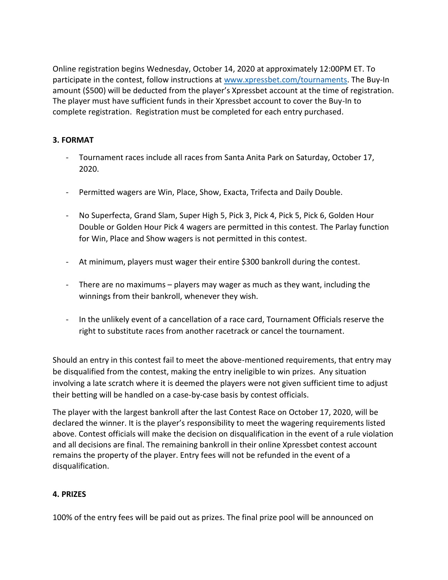Online registration begins Wednesday, October 14, 2020 at approximately 12:00PM ET. To participate in the contest, follow instructions at [www.xpressbet.com/](http://www.xpressbet.com/)tournaments. The Buy-In amount (\$500) will be deducted from the player's Xpressbet account at the time of registration. The player must have sufficient funds in their Xpressbet account to cover the Buy-In to complete registration. Registration must be completed for each entry purchased.

## **3. FORMAT**

- Tournament races include all races from Santa Anita Park on Saturday, October 17, 2020.
- Permitted wagers are Win, Place, Show, Exacta, Trifecta and Daily Double.
- No Superfecta, Grand Slam, Super High 5, Pick 3, Pick 4, Pick 5, Pick 6, Golden Hour Double or Golden Hour Pick 4 wagers are permitted in this contest. The Parlay function for Win, Place and Show wagers is not permitted in this contest.
- At minimum, players must wager their entire \$300 bankroll during the contest.
- There are no maximums players may wager as much as they want, including the winnings from their bankroll, whenever they wish.
- In the unlikely event of a cancellation of a race card, Tournament Officials reserve the right to substitute races from another racetrack or cancel the tournament.

Should an entry in this contest fail to meet the above-mentioned requirements, that entry may be disqualified from the contest, making the entry ineligible to win prizes. Any situation involving a late scratch where it is deemed the players were not given sufficient time to adjust their betting will be handled on a case-by-case basis by contest officials.

The player with the largest bankroll after the last Contest Race on October 17, 2020, will be declared the winner. It is the player's responsibility to meet the wagering requirements listed above. Contest officials will make the decision on disqualification in the event of a rule violation and all decisions are final. The remaining bankroll in their online Xpressbet contest account remains the property of the player. Entry fees will not be refunded in the event of a disqualification.

### **4. PRIZES**

100% of the entry fees will be paid out as prizes. The final prize pool will be announced on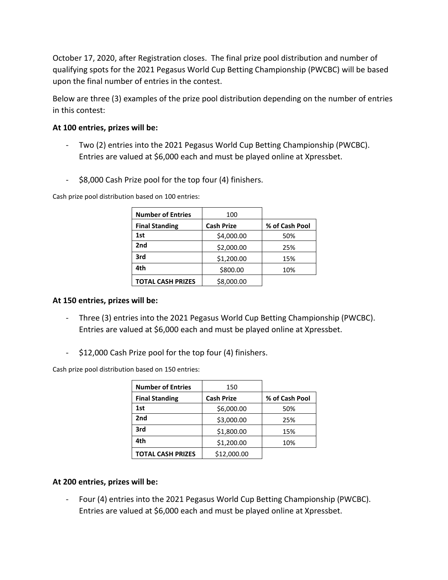October 17, 2020, after Registration closes. The final prize pool distribution and number of qualifying spots for the 2021 Pegasus World Cup Betting Championship (PWCBC) will be based upon the final number of entries in the contest.

Below are three (3) examples of the prize pool distribution depending on the number of entries in this contest:

### **At 100 entries, prizes will be:**

- Two (2) entries into the 2021 Pegasus World Cup Betting Championship (PWCBC). Entries are valued at \$6,000 each and must be played online at Xpressbet.
- \$8,000 Cash Prize pool for the top four (4) finishers.

Cash prize pool distribution based on 100 entries:

| <b>Number of Entries</b> | 100               |                |
|--------------------------|-------------------|----------------|
| <b>Final Standing</b>    | <b>Cash Prize</b> | % of Cash Pool |
| 1st                      | \$4,000.00        | 50%            |
| 2nd                      | \$2,000.00        | 25%            |
| 3rd                      | \$1,200.00        | 15%            |
| 4th                      | \$800.00          | 10%            |
| <b>TOTAL CASH PRIZES</b> | \$8,000.00        |                |

## **At 150 entries, prizes will be:**

- Three (3) entries into the 2021 Pegasus World Cup Betting Championship (PWCBC). Entries are valued at \$6,000 each and must be played online at Xpressbet.
- \$12,000 Cash Prize pool for the top four (4) finishers.

Cash prize pool distribution based on 150 entries:

| <b>Number of Entries</b> | 150               |                |
|--------------------------|-------------------|----------------|
| <b>Final Standing</b>    | <b>Cash Prize</b> | % of Cash Pool |
| 1st                      | \$6,000.00        | 50%            |
| 2nd                      | \$3,000.00        | 25%            |
| 3rd                      | \$1,800.00        | 15%            |
| 4th                      | \$1,200.00        | 10%            |
| <b>TOTAL CASH PRIZES</b> | \$12,000.00       |                |

## **At 200 entries, prizes will be:**

- Four (4) entries into the 2021 Pegasus World Cup Betting Championship (PWCBC). Entries are valued at \$6,000 each and must be played online at Xpressbet.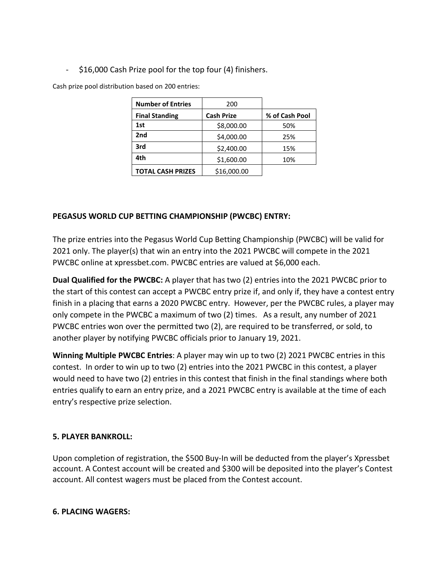- \$16,000 Cash Prize pool for the top four (4) finishers.

Cash prize pool distribution based on 200 entries:

| <b>Number of Entries</b> | 200               |                |
|--------------------------|-------------------|----------------|
| <b>Final Standing</b>    | <b>Cash Prize</b> | % of Cash Pool |
| 1st                      | \$8,000.00        | 50%            |
| 2nd                      | \$4,000.00        | 25%            |
| 3rd                      | \$2,400.00        | 15%            |
| 4th                      | \$1,600.00        | 10%            |
| <b>TOTAL CASH PRIZES</b> | \$16,000.00       |                |

## **PEGASUS WORLD CUP BETTING CHAMPIONSHIP (PWCBC) ENTRY:**

The prize entries into the Pegasus World Cup Betting Championship (PWCBC) will be valid for 2021 only. The player(s) that win an entry into the 2021 PWCBC will compete in the 2021 PWCBC online at xpressbet.com. PWCBC entries are valued at \$6,000 each.

**Dual Qualified for the PWCBC:** A player that has two (2) entries into the 2021 PWCBC prior to the start of this contest can accept a PWCBC entry prize if, and only if, they have a contest entry finish in a placing that earns a 2020 PWCBC entry. However, per the PWCBC rules, a player may only compete in the PWCBC a maximum of two (2) times. As a result, any number of 2021 PWCBC entries won over the permitted two (2), are required to be transferred, or sold, to another player by notifying PWCBC officials prior to January 19, 2021.

**Winning Multiple PWCBC Entries**: A player may win up to two (2) 2021 PWCBC entries in this contest. In order to win up to two (2) entries into the 2021 PWCBC in this contest, a player would need to have two (2) entries in this contest that finish in the final standings where both entries qualify to earn an entry prize, and a 2021 PWCBC entry is available at the time of each entry's respective prize selection.

## **5. PLAYER BANKROLL:**

Upon completion of registration, the \$500 Buy-In will be deducted from the player's Xpressbet account. A Contest account will be created and \$300 will be deposited into the player's Contest account. All contest wagers must be placed from the Contest account.

## **6. PLACING WAGERS:**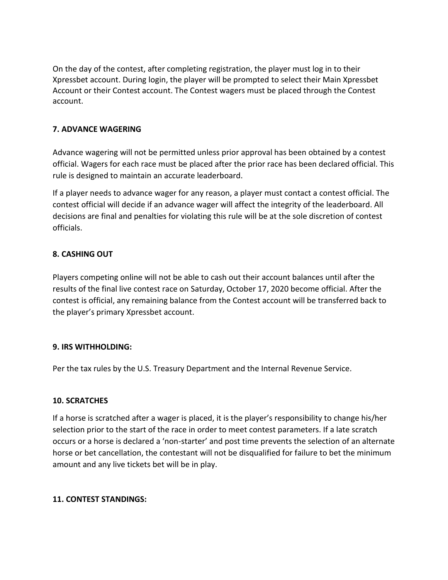On the day of the contest, after completing registration, the player must log in to their Xpressbet account. During login, the player will be prompted to select their Main Xpressbet Account or their Contest account. The Contest wagers must be placed through the Contest account.

### **7. ADVANCE WAGERING**

Advance wagering will not be permitted unless prior approval has been obtained by a contest official. Wagers for each race must be placed after the prior race has been declared official. This rule is designed to maintain an accurate leaderboard.

If a player needs to advance wager for any reason, a player must contact a contest official. The contest official will decide if an advance wager will affect the integrity of the leaderboard. All decisions are final and penalties for violating this rule will be at the sole discretion of contest officials.

### **8. CASHING OUT**

Players competing online will not be able to cash out their account balances until after the results of the final live contest race on Saturday, October 17, 2020 become official. After the contest is official, any remaining balance from the Contest account will be transferred back to the player's primary Xpressbet account.

### **9. IRS WITHHOLDING:**

Per the tax rules by the U.S. Treasury Department and the Internal Revenue Service.

### **10. SCRATCHES**

If a horse is scratched after a wager is placed, it is the player's responsibility to change his/her selection prior to the start of the race in order to meet contest parameters. If a late scratch occurs or a horse is declared a 'non-starter' and post time prevents the selection of an alternate horse or bet cancellation, the contestant will not be disqualified for failure to bet the minimum amount and any live tickets bet will be in play.

### **11. CONTEST STANDINGS:**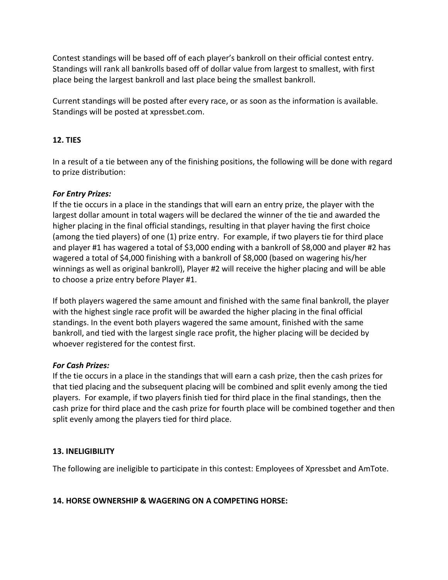Contest standings will be based off of each player's bankroll on their official contest entry. Standings will rank all bankrolls based off of dollar value from largest to smallest, with first place being the largest bankroll and last place being the smallest bankroll.

Current standings will be posted after every race, or as soon as the information is available. Standings will be posted at xpressbet.com.

# **12. TIES**

In a result of a tie between any of the finishing positions, the following will be done with regard to prize distribution:

## *For Entry Prizes:*

If the tie occurs in a place in the standings that will earn an entry prize, the player with the largest dollar amount in total wagers will be declared the winner of the tie and awarded the higher placing in the final official standings, resulting in that player having the first choice (among the tied players) of one (1) prize entry. For example, if two players tie for third place and player #1 has wagered a total of \$3,000 ending with a bankroll of \$8,000 and player #2 has wagered a total of \$4,000 finishing with a bankroll of \$8,000 (based on wagering his/her winnings as well as original bankroll), Player #2 will receive the higher placing and will be able to choose a prize entry before Player #1.

If both players wagered the same amount and finished with the same final bankroll, the player with the highest single race profit will be awarded the higher placing in the final official standings. In the event both players wagered the same amount, finished with the same bankroll, and tied with the largest single race profit, the higher placing will be decided by whoever registered for the contest first.

### *For Cash Prizes:*

If the tie occurs in a place in the standings that will earn a cash prize, then the cash prizes for that tied placing and the subsequent placing will be combined and split evenly among the tied players. For example, if two players finish tied for third place in the final standings, then the cash prize for third place and the cash prize for fourth place will be combined together and then split evenly among the players tied for third place.

## **13. INELIGIBILITY**

The following are ineligible to participate in this contest: Employees of Xpressbet and AmTote.

## **14. HORSE OWNERSHIP & WAGERING ON A COMPETING HORSE:**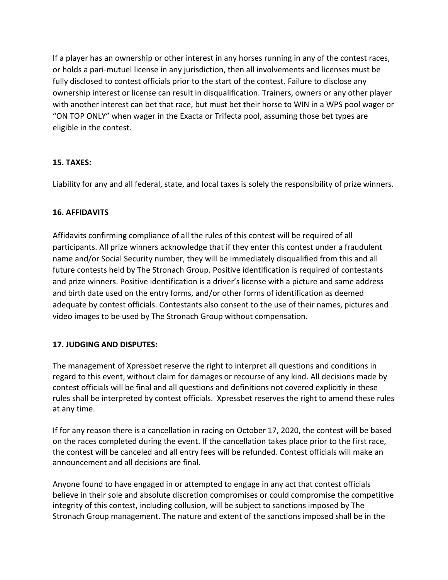If a player has an ownership or other interest in any horses running in any of the contest races, or holds a pari-mutuel license in any jurisdiction, then all involvements and licenses must be fully disclosed to contest officials prior to the start of the contest. Failure to disclose any ownership interest or license can result in disqualification. Trainers, owners or any other player with another interest can bet that race, but must bet their horse to WIN in a WPS pool wager or "ON TOP ONLY" when wager in the Exacta or Trifecta pool, assuming those bet types are eligible in the contest.

## **15. TAXES:**

Liability for any and all federal, state, and local taxes is solely the responsibility of prize winners.

### **16. AFFIDAVITS**

Affidavits confirming compliance of all the rules of this contest will be required of all participants. All prize winners acknowledge that if they enter this contest under a fraudulent name and/or Social Security number, they will be immediately disqualified from this and all future contests held by The Stronach Group. Positive identification is required of contestants and prize winners. Positive identification is a driver's license with a picture and same address and birth date used on the entry forms, and/or other forms of identification as deemed adequate by contest officials. Contestants also consent to the use of their names, pictures and video images to be used by The Stronach Group without compensation.

## **17. JUDGING AND DISPUTES:**

The management of Xpressbet reserve the right to interpret all questions and conditions in regard to this event, without claim for damages or recourse of any kind. All decisions made by contest officials will be final and all questions and definitions not covered explicitly in these rules shall be interpreted by contest officials. Xpressbet reserves the right to amend these rules at any time.

If for any reason there is a cancellation in racing on October 17, 2020, the contest will be based on the races completed during the event. If the cancellation takes place prior to the first race, the contest will be canceled and all entry fees will be refunded. Contest officials will make an announcement and all decisions are final.

Anyone found to have engaged in or attempted to engage in any act that contest officials believe in their sole and absolute discretion compromises or could compromise the competitive integrity of this contest, including collusion, will be subject to sanctions imposed by The Stronach Group management. The nature and extent of the sanctions imposed shall be in the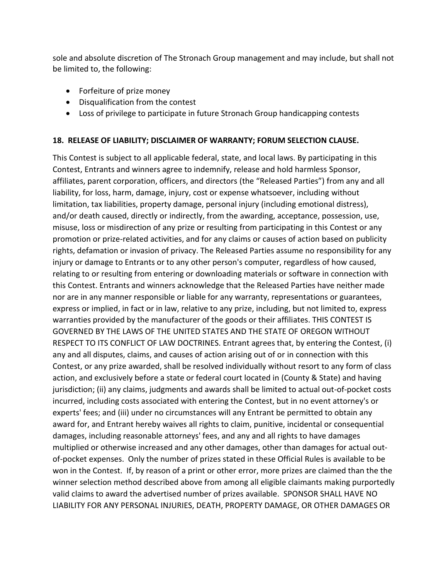sole and absolute discretion of The Stronach Group management and may include, but shall not be limited to, the following:

- Forfeiture of prize money
- Disqualification from the contest
- Loss of privilege to participate in future Stronach Group handicapping contests

### **18. RELEASE OF LIABILITY; DISCLAIMER OF WARRANTY; FORUM SELECTION CLAUSE.**

This Contest is subject to all applicable federal, state, and local laws. By participating in this Contest, Entrants and winners agree to indemnify, release and hold harmless Sponsor, affiliates, parent corporation, officers, and directors (the "Released Parties") from any and all liability, for loss, harm, damage, injury, cost or expense whatsoever, including without limitation, tax liabilities, property damage, personal injury (including emotional distress), and/or death caused, directly or indirectly, from the awarding, acceptance, possession, use, misuse, loss or misdirection of any prize or resulting from participating in this Contest or any promotion or prize-related activities, and for any claims or causes of action based on publicity rights, defamation or invasion of privacy. The Released Parties assume no responsibility for any injury or damage to Entrants or to any other person's computer, regardless of how caused, relating to or resulting from entering or downloading materials or software in connection with this Contest. Entrants and winners acknowledge that the Released Parties have neither made nor are in any manner responsible or liable for any warranty, representations or guarantees, express or implied, in fact or in law, relative to any prize, including, but not limited to, express warranties provided by the manufacturer of the goods or their affiliates. THIS CONTEST IS GOVERNED BY THE LAWS OF THE UNITED STATES AND THE STATE OF OREGON WITHOUT RESPECT TO ITS CONFLICT OF LAW DOCTRINES. Entrant agrees that, by entering the Contest, (i) any and all disputes, claims, and causes of action arising out of or in connection with this Contest, or any prize awarded, shall be resolved individually without resort to any form of class action, and exclusively before a state or federal court located in (County & State) and having jurisdiction; (ii) any claims, judgments and awards shall be limited to actual out-of-pocket costs incurred, including costs associated with entering the Contest, but in no event attorney's or experts' fees; and (iii) under no circumstances will any Entrant be permitted to obtain any award for, and Entrant hereby waives all rights to claim, punitive, incidental or consequential damages, including reasonable attorneys' fees, and any and all rights to have damages multiplied or otherwise increased and any other damages, other than damages for actual outof-pocket expenses. Only the number of prizes stated in these Official Rules is available to be won in the Contest. If, by reason of a print or other error, more prizes are claimed than the the winner selection method described above from among all eligible claimants making purportedly valid claims to award the advertised number of prizes available. SPONSOR SHALL HAVE NO LIABILITY FOR ANY PERSONAL INJURIES, DEATH, PROPERTY DAMAGE, OR OTHER DAMAGES OR